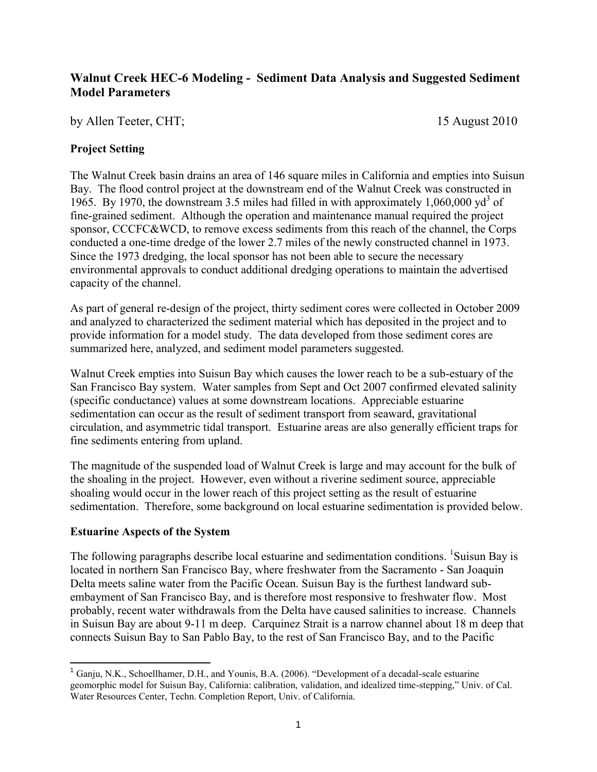# **Walnut Creek HEC-6 Modeling - Sediment Data Analysis and Suggested Sediment Model Parameters**

by Allen Teeter, CHT; 15 August 2010

### **Project Setting**

The Walnut Creek basin drains an area of 146 square miles in California and empties into Suisun Bay. The flood control project at the downstream end of the Walnut Creek was constructed in 1965. By 1970, the downstream 3.5 miles had filled in with approximately 1,060,000  $yd^3$  of fine-grained sediment. Although the operation and maintenance manual required the project sponsor, CCCFC&WCD, to remove excess sediments from this reach of the channel, the Corps conducted a one-time dredge of the lower 2.7 miles of the newly constructed channel in 1973. Since the 1973 dredging, the local sponsor has not been able to secure the necessary environmental approvals to conduct additional dredging operations to maintain the advertised capacity of the channel.

As part of general re-design of the project, thirty sediment cores were collected in October 2009 and analyzed to characterized the sediment material which has deposited in the project and to provide information for a model study. The data developed from those sediment cores are summarized here, analyzed, and sediment model parameters suggested.

Walnut Creek empties into Suisun Bay which causes the lower reach to be a sub-estuary of the San Francisco Bay system. Water samples from Sept and Oct 2007 confirmed elevated salinity (specific conductance) values at some downstream locations. Appreciable estuarine sedimentation can occur as the result of sediment transport from seaward, gravitational circulation, and asymmetric tidal transport. Estuarine areas are also generally efficient traps for fine sediments entering from upland.

The magnitude of the suspended load of Walnut Creek is large and may account for the bulk of the shoaling in the project. However, even without a riverine sediment source, appreciable shoaling would occur in the lower reach of this project setting as the result of estuarine sedimentation. Therefore, some background on local estuarine sedimentation is provided below.

#### **Estuarine Aspects of the System**

The following paragraphs describe local estuarine and sedimentation conditions. <sup>1</sup>Suisun Bay is located in northern San Francisco Bay, where freshwater from the Sacramento - San Joaquin Delta meets saline water from the Pacific Ocean. Suisun Bay is the furthest landward subembayment of San Francisco Bay, and is therefore most responsive to freshwater flow. Most probably, recent water withdrawals from the Delta have caused salinities to increase. Channels in Suisun Bay are about 9-11 m deep. Carquinez Strait is a narrow channel about 18 m deep that connects Suisun Bay to San Pablo Bay, to the rest of San Francisco Bay, and to the Pacific

 $\overline{\phantom{a}}$ <sup>1</sup> Ganju, N.K., Schoellhamer, D.H., and Younis, B.A. (2006). "Development of a decadal-scale estuarine geomorphic model for Suisun Bay, California: calibration, validation, and idealized time-stepping," Univ. of Cal. Water Resources Center, Techn. Completion Report, Univ. of California.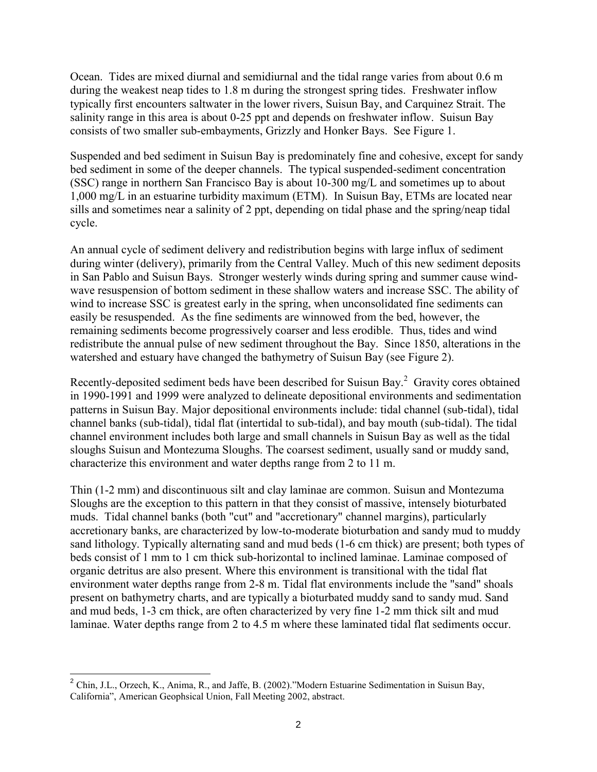Ocean. Tides are mixed diurnal and semidiurnal and the tidal range varies from about 0.6 m during the weakest neap tides to 1.8 m during the strongest spring tides. Freshwater inflow typically first encounters saltwater in the lower rivers, Suisun Bay, and Carquinez Strait. The salinity range in this area is about 0-25 ppt and depends on freshwater inflow. Suisun Bay consists of two smaller sub-embayments, Grizzly and Honker Bays. See Figure 1.

Suspended and bed sediment in Suisun Bay is predominately fine and cohesive, except for sandy bed sediment in some of the deeper channels. The typical suspended-sediment concentration (SSC) range in northern San Francisco Bay is about 10-300 mg/L and sometimes up to about 1,000 mg/L in an estuarine turbidity maximum (ETM). In Suisun Bay, ETMs are located near sills and sometimes near a salinity of 2 ppt, depending on tidal phase and the spring/neap tidal cycle.

An annual cycle of sediment delivery and redistribution begins with large influx of sediment during winter (delivery), primarily from the Central Valley. Much of this new sediment deposits in San Pablo and Suisun Bays. Stronger westerly winds during spring and summer cause windwave resuspension of bottom sediment in these shallow waters and increase SSC. The ability of wind to increase SSC is greatest early in the spring, when unconsolidated fine sediments can easily be resuspended. As the fine sediments are winnowed from the bed, however, the remaining sediments become progressively coarser and less erodible. Thus, tides and wind redistribute the annual pulse of new sediment throughout the Bay. Since 1850, alterations in the watershed and estuary have changed the bathymetry of Suisun Bay (see Figure 2).

Recently-deposited sediment beds have been described for Suisun Bay. $2$  Gravity cores obtained in 1990-1991 and 1999 were analyzed to delineate depositional environments and sedimentation patterns in Suisun Bay. Major depositional environments include: tidal channel (sub-tidal), tidal channel banks (sub-tidal), tidal flat (intertidal to sub-tidal), and bay mouth (sub-tidal). The tidal channel environment includes both large and small channels in Suisun Bay as well as the tidal sloughs Suisun and Montezuma Sloughs. The coarsest sediment, usually sand or muddy sand, characterize this environment and water depths range from 2 to 11 m.

Thin (1-2 mm) and discontinuous silt and clay laminae are common. Suisun and Montezuma Sloughs are the exception to this pattern in that they consist of massive, intensely bioturbated muds. Tidal channel banks (both "cut" and "accretionary" channel margins), particularly accretionary banks, are characterized by low-to-moderate bioturbation and sandy mud to muddy sand lithology. Typically alternating sand and mud beds (1-6 cm thick) are present; both types of beds consist of 1 mm to 1 cm thick sub-horizontal to inclined laminae. Laminae composed of organic detritus are also present. Where this environment is transitional with the tidal flat environment water depths range from 2-8 m. Tidal flat environments include the "sand" shoals present on bathymetry charts, and are typically a bioturbated muddy sand to sandy mud. Sand and mud beds, 1-3 cm thick, are often characterized by very fine 1-2 mm thick silt and mud laminae. Water depths range from 2 to 4.5 m where these laminated tidal flat sediments occur.

<sup>&</sup>lt;sup>2</sup> Chin, J.L., Orzech, K., Anima, R., and Jaffe, B. (2002)."Modern Estuarine Sedimentation in Suisun Bay, California", American Geophsical Union, Fall Meeting 2002, abstract.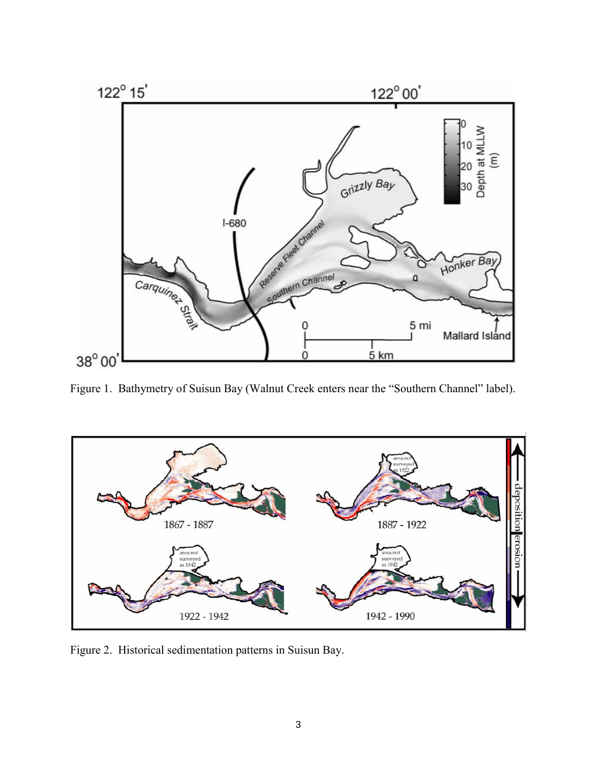

Figure 1. Bathymetry of Suisun Bay (Walnut Creek enters near the "Southern Channel" label).



Figure 2. Historical sedimentation patterns in Suisun Bay.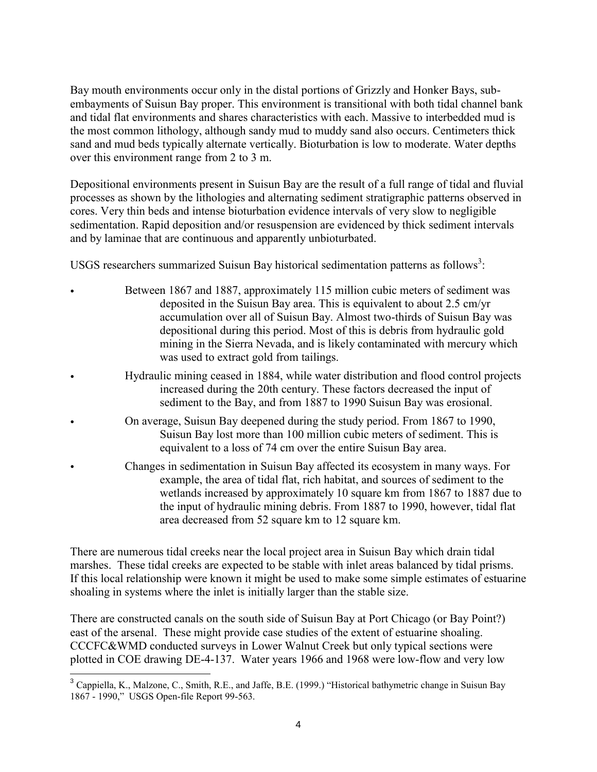Bay mouth environments occur only in the distal portions of Grizzly and Honker Bays, subembayments of Suisun Bay proper. This environment is transitional with both tidal channel bank and tidal flat environments and shares characteristics with each. Massive to interbedded mud is the most common lithology, although sandy mud to muddy sand also occurs. Centimeters thick sand and mud beds typically alternate vertically. Bioturbation is low to moderate. Water depths over this environment range from 2 to 3 m.

Depositional environments present in Suisun Bay are the result of a full range of tidal and fluvial processes as shown by the lithologies and alternating sediment stratigraphic patterns observed in cores. Very thin beds and intense bioturbation evidence intervals of very slow to negligible sedimentation. Rapid deposition and/or resuspension are evidenced by thick sediment intervals and by laminae that are continuous and apparently unbioturbated.

USGS researchers summarized Suisun Bay historical sedimentation patterns as follows<sup>3</sup>:

- Between 1867 and 1887, approximately 115 million cubic meters of sediment was deposited in the Suisun Bay area. This is equivalent to about 2.5 cm/yr accumulation over all of Suisun Bay. Almost two-thirds of Suisun Bay was depositional during this period. Most of this is debris from hydraulic gold mining in the Sierra Nevada, and is likely contaminated with mercury which was used to extract gold from tailings.
	- Hydraulic mining ceased in 1884, while water distribution and flood control projects increased during the 20th century. These factors decreased the input of sediment to the Bay, and from 1887 to 1990 Suisun Bay was erosional.
- On average, Suisun Bay deepened during the study period. From 1867 to 1990, Suisun Bay lost more than 100 million cubic meters of sediment. This is equivalent to a loss of 74 cm over the entire Suisun Bay area.
	- Changes in sedimentation in Suisun Bay affected its ecosystem in many ways. For example, the area of tidal flat, rich habitat, and sources of sediment to the wetlands increased by approximately 10 square km from 1867 to 1887 due to the input of hydraulic mining debris. From 1887 to 1990, however, tidal flat area decreased from 52 square km to 12 square km.

There are numerous tidal creeks near the local project area in Suisun Bay which drain tidal marshes. These tidal creeks are expected to be stable with inlet areas balanced by tidal prisms. If this local relationship were known it might be used to make some simple estimates of estuarine shoaling in systems where the inlet is initially larger than the stable size.

There are constructed canals on the south side of Suisun Bay at Port Chicago (or Bay Point?) east of the arsenal. These might provide case studies of the extent of estuarine shoaling. CCCFC&WMD conducted surveys in Lower Walnut Creek but only typical sections were plotted in COE drawing DE-4-137. Water years 1966 and 1968 were low-flow and very low

 $\overline{a}$ 

<sup>&</sup>lt;sup>3</sup> Cappiella, K., Malzone, C., Smith, R.E., and Jaffe, B.E. (1999.) "Historical bathymetric change in Suisun Bay 1867 - 1990," USGS Open-file Report 99-563.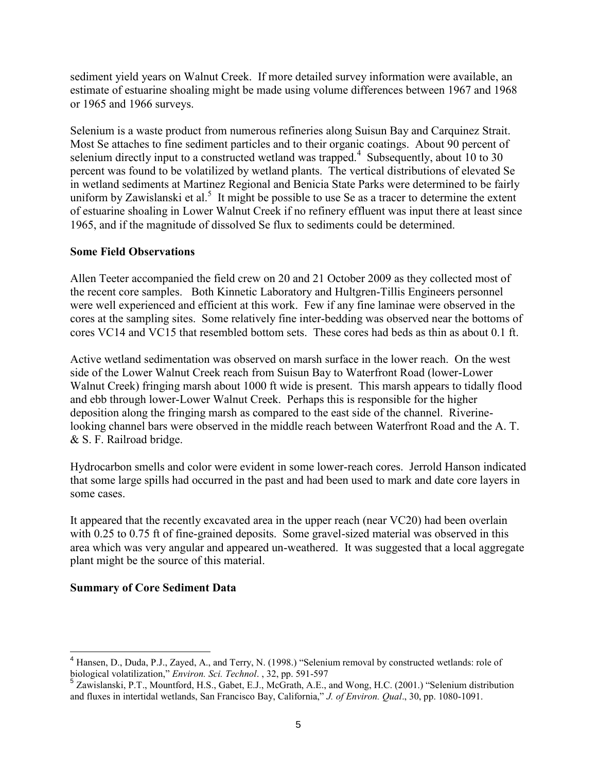sediment yield years on Walnut Creek. If more detailed survey information were available, an estimate of estuarine shoaling might be made using volume differences between 1967 and 1968 or 1965 and 1966 surveys.

Selenium is a waste product from numerous refineries along Suisun Bay and Carquinez Strait. Most Se attaches to fine sediment particles and to their organic coatings. About 90 percent of selenium directly input to a constructed wetland was trapped.<sup>4</sup> Subsequently, about 10 to 30 percent was found to be volatilized by wetland plants. The vertical distributions of elevated Se in wetland sediments at Martinez Regional and Benicia State Parks were determined to be fairly uniform by Zawislanski et al.<sup>5</sup> It might be possible to use Se as a tracer to determine the extent of estuarine shoaling in Lower Walnut Creek if no refinery effluent was input there at least since 1965, and if the magnitude of dissolved Se flux to sediments could be determined.

## **Some Field Observations**

Allen Teeter accompanied the field crew on 20 and 21 October 2009 as they collected most of the recent core samples. Both Kinnetic Laboratory and Hultgren-Tillis Engineers personnel were well experienced and efficient at this work. Few if any fine laminae were observed in the cores at the sampling sites. Some relatively fine inter-bedding was observed near the bottoms of cores VC14 and VC15 that resembled bottom sets. These cores had beds as thin as about 0.1 ft.

Active wetland sedimentation was observed on marsh surface in the lower reach. On the west side of the Lower Walnut Creek reach from Suisun Bay to Waterfront Road (lower-Lower Walnut Creek) fringing marsh about 1000 ft wide is present. This marsh appears to tidally flood and ebb through lower-Lower Walnut Creek. Perhaps this is responsible for the higher deposition along the fringing marsh as compared to the east side of the channel. Riverinelooking channel bars were observed in the middle reach between Waterfront Road and the A. T. & S. F. Railroad bridge.

Hydrocarbon smells and color were evident in some lower-reach cores. Jerrold Hanson indicated that some large spills had occurred in the past and had been used to mark and date core layers in some cases.

It appeared that the recently excavated area in the upper reach (near VC20) had been overlain with 0.25 to 0.75 ft of fine-grained deposits. Some gravel-sized material was observed in this area which was very angular and appeared un-weathered. It was suggested that a local aggregate plant might be the source of this material.

## **Summary of Core Sediment Data**

 $\overline{\phantom{a}}$ 

<sup>&</sup>lt;sup>4</sup> Hansen, D., Duda, P.J., Zayed, A., and Terry, N. (1998.) "Selenium removal by constructed wetlands: role of biological volatilization," *Environ. Sci. Technol.* , 32, pp. 591-597<br><sup>5</sup> Zawislanski, P.T., Mountford, H.S., Gabet, E.J., McGrath, A.E., and Wong, H.C. (2001.) "Selenium distribution

and fluxes in intertidal wetlands, San Francisco Bay, California," *J. of Environ. Qual*., 30, pp. 1080-1091.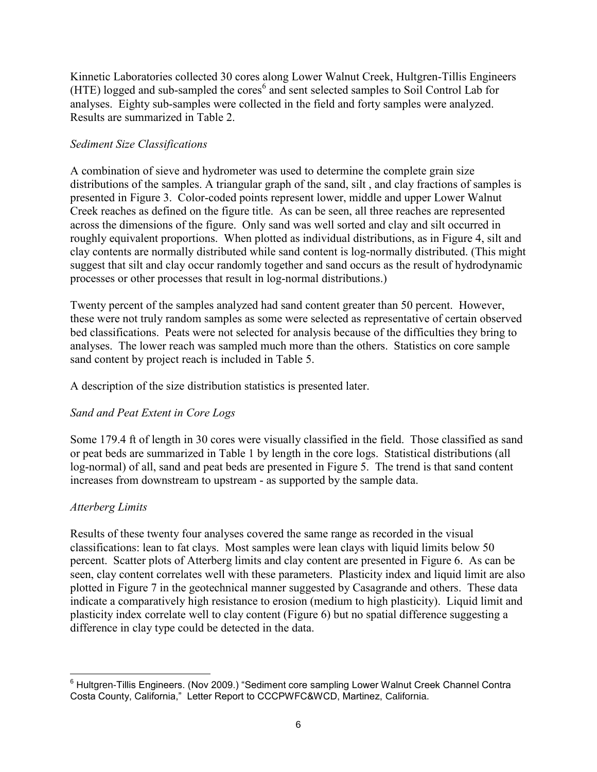Kinnetic Laboratories collected 30 cores along Lower Walnut Creek, Hultgren-Tillis Engineers  $(HTE)$  logged and sub-sampled the cores<sup>6</sup> and sent selected samples to Soil Control Lab for analyses. Eighty sub-samples were collected in the field and forty samples were analyzed. Results are summarized in Table 2.

## *Sediment Size Classifications*

A combination of sieve and hydrometer was used to determine the complete grain size distributions of the samples. A triangular graph of the sand, silt , and clay fractions of samples is presented in Figure 3. Color-coded points represent lower, middle and upper Lower Walnut Creek reaches as defined on the figure title. As can be seen, all three reaches are represented across the dimensions of the figure. Only sand was well sorted and clay and silt occurred in roughly equivalent proportions. When plotted as individual distributions, as in Figure 4, silt and clay contents are normally distributed while sand content is log-normally distributed. (This might suggest that silt and clay occur randomly together and sand occurs as the result of hydrodynamic processes or other processes that result in log-normal distributions.)

Twenty percent of the samples analyzed had sand content greater than 50 percent. However, these were not truly random samples as some were selected as representative of certain observed bed classifications. Peats were not selected for analysis because of the difficulties they bring to analyses. The lower reach was sampled much more than the others. Statistics on core sample sand content by project reach is included in Table 5.

A description of the size distribution statistics is presented later.

# *Sand and Peat Extent in Core Logs*

Some 179.4 ft of length in 30 cores were visually classified in the field. Those classified as sand or peat beds are summarized in Table 1 by length in the core logs. Statistical distributions (all log-normal) of all, sand and peat beds are presented in Figure 5. The trend is that sand content increases from downstream to upstream - as supported by the sample data.

# *Atterberg Limits*

Results of these twenty four analyses covered the same range as recorded in the visual classifications: lean to fat clays. Most samples were lean clays with liquid limits below 50 percent. Scatter plots of Atterberg limits and clay content are presented in Figure 6. As can be seen, clay content correlates well with these parameters. Plasticity index and liquid limit are also plotted in Figure 7 in the geotechnical manner suggested by Casagrande and others. These data indicate a comparatively high resistance to erosion (medium to high plasticity). Liquid limit and plasticity index correlate well to clay content (Figure 6) but no spatial difference suggesting a difference in clay type could be detected in the data.

 $\overline{a}$ <sup>6</sup> Hultgren-Tillis Engineers. (Nov 2009.) "Sediment core sampling Lower Walnut Creek Channel Contra Costa County, California," Letter Report to CCCPWFC&WCD, Martinez, California.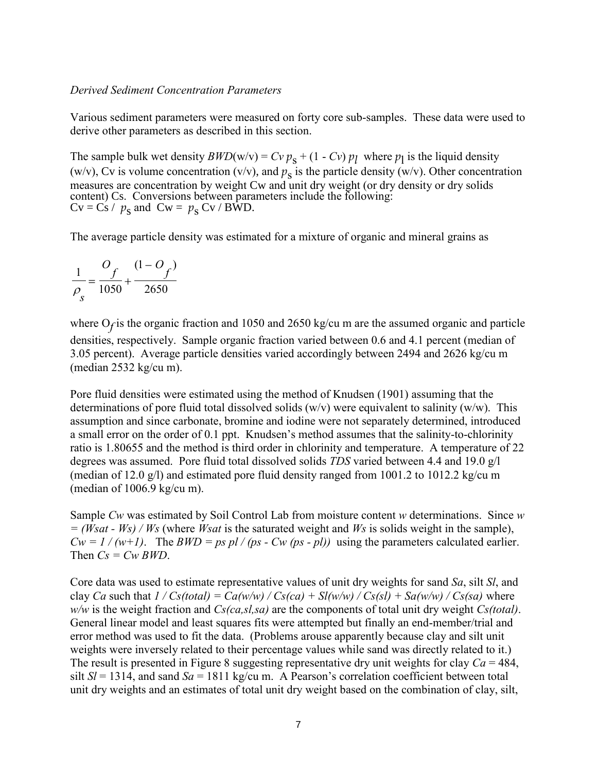#### *Derived Sediment Concentration Parameters*

Various sediment parameters were measured on forty core sub-samples. These data were used to derive other parameters as described in this section.

The sample bulk wet density  $BWD(w/v) = Cv p_s + (1 - Cv) p_l$  where  $p_l$  is the liquid density (w/v), Cv is volume concentration (v/v), and  $p_s$  is the particle density (w/v). Other concentration measures are concentration by weight Cw and unit dry weight (or dry density or dry solids content) Cs. Conversions between parameters include the following:  $Cv = Cs / p_s$  and  $Cw = p_s Cv / B\hat{W}D$ .

The average particle density was estimated for a mixture of organic and mineral grains as

$$
\frac{1}{\rho_s} = \frac{O_f}{1050} + \frac{(1 - O_f)}{2650}
$$

where O<sub>f</sub> is the organic fraction and 1050 and 2650 kg/cu m are the assumed organic and particle densities, respectively. Sample organic fraction varied between 0.6 and 4.1 percent (median of 3.05 percent). Average particle densities varied accordingly between 2494 and 2626 kg/cu m (median 2532 kg/cu m).

Pore fluid densities were estimated using the method of Knudsen (1901) assuming that the determinations of pore fluid total dissolved solids  $(w/v)$  were equivalent to salinity  $(w/w)$ . This assumption and since carbonate, bromine and iodine were not separately determined, introduced a small error on the order of 0.1 ppt. Knudsen's method assumes that the salinity-to-chlorinity ratio is 1.80655 and the method is third order in chlorinity and temperature. A temperature of 22 degrees was assumed. Pore fluid total dissolved solids *TDS* varied between 4.4 and 19.0 g/l (median of 12.0 g/l) and estimated pore fluid density ranged from 1001.2 to 1012.2 kg/cu m (median of 1006.9 kg/cu m).

Sample *Cw* was estimated by Soil Control Lab from moisture content *w* determinations. Since *w = (Wsat - Ws) / Ws* (where *Wsat* is the saturated weight and *Ws* is solids weight in the sample),  $Cw = 1/(w+1)$ . The *BWD* = *ps pl* / (*ps* - *Cw* (*ps* - *pl*)) using the parameters calculated earlier. Then *Cs = Cw BWD*.

Core data was used to estimate representative values of unit dry weights for sand *Sa*, silt *Sl*, and clay *Ca* such that  $1 / Cs(total) = Ca(w/w) / Cs(ca) + Sl(w/w) / Cs(sl) + Sa(w/w) / Cs(sa)$  where *w/w* is the weight fraction and *Cs(ca,sl,sa)* are the components of total unit dry weight *Cs(total)*. General linear model and least squares fits were attempted but finally an end-member/trial and error method was used to fit the data. (Problems arouse apparently because clay and silt unit weights were inversely related to their percentage values while sand was directly related to it.) The result is presented in Figure 8 suggesting representative dry unit weights for clay *Ca* = 484, silt  $SI = 1314$ , and sand  $Sa = 1811$  kg/cu m. A Pearson's correlation coefficient between total unit dry weights and an estimates of total unit dry weight based on the combination of clay, silt,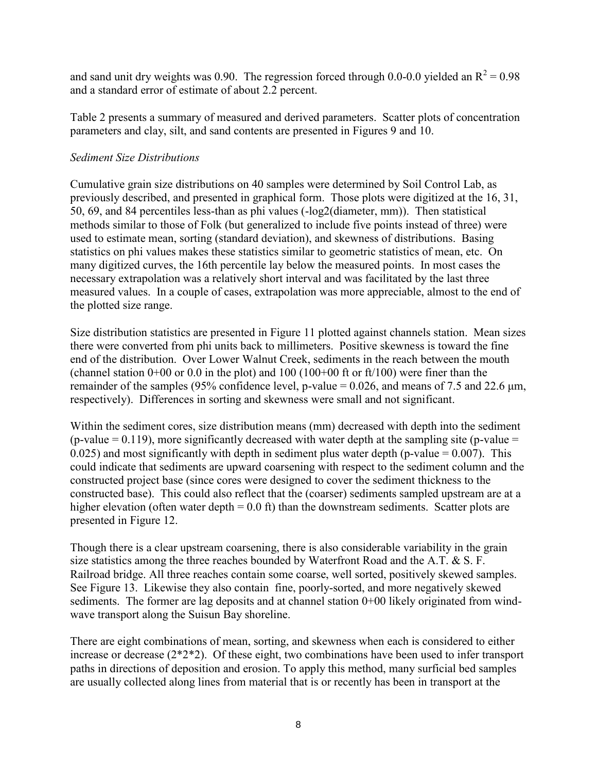and sand unit dry weights was 0.90. The regression forced through 0.0-0.0 yielded an  $R^2 = 0.98$ and a standard error of estimate of about 2.2 percent.

Table 2 presents a summary of measured and derived parameters. Scatter plots of concentration parameters and clay, silt, and sand contents are presented in Figures 9 and 10.

## *Sediment Size Distributions*

Cumulative grain size distributions on 40 samples were determined by Soil Control Lab, as previously described, and presented in graphical form. Those plots were digitized at the 16, 31, 50, 69, and 84 percentiles less-than as phi values (-log2(diameter, mm)). Then statistical methods similar to those of Folk (but generalized to include five points instead of three) were used to estimate mean, sorting (standard deviation), and skewness of distributions. Basing statistics on phi values makes these statistics similar to geometric statistics of mean, etc. On many digitized curves, the 16th percentile lay below the measured points. In most cases the necessary extrapolation was a relatively short interval and was facilitated by the last three measured values. In a couple of cases, extrapolation was more appreciable, almost to the end of the plotted size range.

Size distribution statistics are presented in Figure 11 plotted against channels station. Mean sizes there were converted from phi units back to millimeters. Positive skewness is toward the fine end of the distribution. Over Lower Walnut Creek, sediments in the reach between the mouth (channel station  $0+00$  or 0.0 in the plot) and 100 (100+00 ft or ft/100) were finer than the remainder of the samples (95% confidence level, p-value =  $0.026$ , and means of 7.5 and 22.6  $\mu$ m, respectively). Differences in sorting and skewness were small and not significant.

Within the sediment cores, size distribution means (mm) decreased with depth into the sediment  $(p-value = 0.119)$ , more significantly decreased with water depth at the sampling site (p-value =  $0.025$ ) and most significantly with depth in sediment plus water depth (p-value =  $0.007$ ). This could indicate that sediments are upward coarsening with respect to the sediment column and the constructed project base (since cores were designed to cover the sediment thickness to the constructed base). This could also reflect that the (coarser) sediments sampled upstream are at a higher elevation (often water depth  $= 0.0$  ft) than the downstream sediments. Scatter plots are presented in Figure 12.

Though there is a clear upstream coarsening, there is also considerable variability in the grain size statistics among the three reaches bounded by Waterfront Road and the A.T. & S. F. Railroad bridge. All three reaches contain some coarse, well sorted, positively skewed samples. See Figure 13. Likewise they also contain fine, poorly-sorted, and more negatively skewed sediments. The former are lag deposits and at channel station 0+00 likely originated from windwave transport along the Suisun Bay shoreline.

There are eight combinations of mean, sorting, and skewness when each is considered to either increase or decrease (2\*2\*2). Of these eight, two combinations have been used to infer transport paths in directions of deposition and erosion. To apply this method, many surficial bed samples are usually collected along lines from material that is or recently has been in transport at the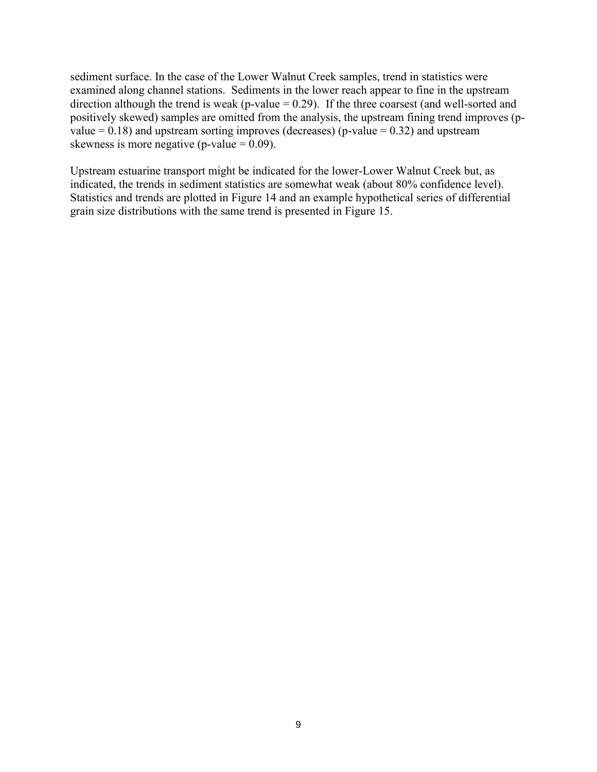sediment surface. In the case of the Lower Walnut Creek samples, trend in statistics were examined along channel stations. Sediments in the lower reach appear to fine in the upstream direction although the trend is weak (p-value  $= 0.29$ ). If the three coarsest (and well-sorted and positively skewed) samples are omitted from the analysis, the upstream fining trend improves (pvalue  $= 0.18$ ) and upstream sorting improves (decreases) (p-value  $= 0.32$ ) and upstream skewness is more negative (p-value  $= 0.09$ ).

Upstream estuarine transport might be indicated for the lower-Lower Walnut Creek but, as indicated, the trends in sediment statistics are somewhat weak (about 80% confidence level). Statistics and trends are plotted in Figure 14 and an example hypothetical series of differential grain size distributions with the same trend is presented in Figure 15.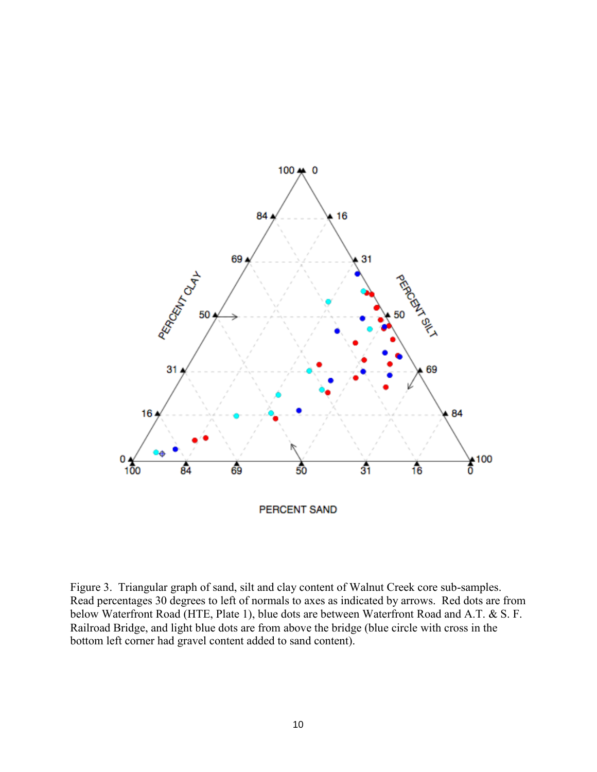

Figure 3. Triangular graph of sand, silt and clay content of Walnut Creek core sub-samples. Read percentages 30 degrees to left of normals to axes as indicated by arrows. Red dots are from below Waterfront Road (HTE, Plate 1), blue dots are between Waterfront Road and A.T. & S. F. Railroad Bridge, and light blue dots are from above the bridge (blue circle with cross in the bottom left corner had gravel content added to sand content).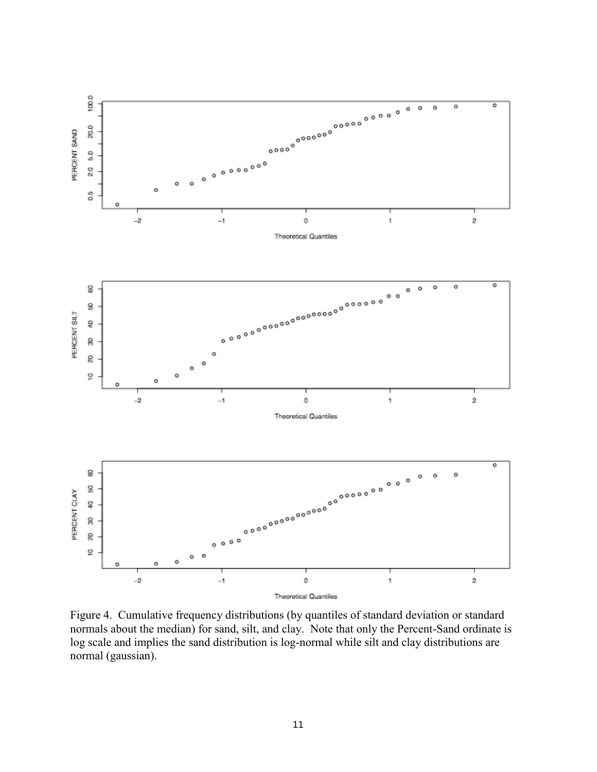

Figure 4. Cumulative frequency distributions (by quantiles of standard deviation or standard normals about the median) for sand, silt, and clay. Note that only the Percent-Sand ordinate is log scale and implies the sand distribution is log-normal while silt and clay distributions are normal (gaussian).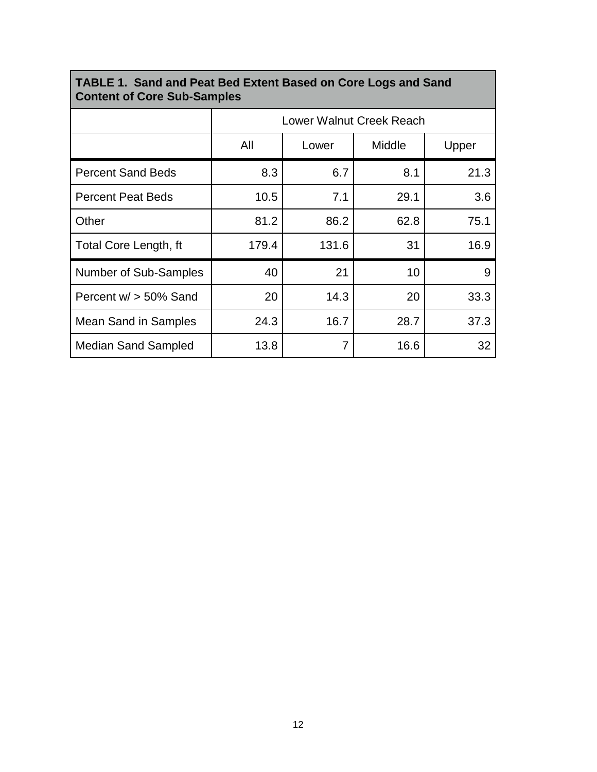| <b>Content of Core Sub-Samples</b> |                          |       |        |       |  |
|------------------------------------|--------------------------|-------|--------|-------|--|
|                                    | Lower Walnut Creek Reach |       |        |       |  |
|                                    | All                      | Lower | Middle | Upper |  |
| <b>Percent Sand Beds</b>           | 8.3                      | 6.7   | 8.1    | 21.3  |  |
| <b>Percent Peat Beds</b>           | 10.5                     | 7.1   | 29.1   | 3.6   |  |
| Other                              | 81.2                     | 86.2  | 62.8   | 75.1  |  |
| Total Core Length, ft              | 179.4                    | 131.6 | 31     | 16.9  |  |
| Number of Sub-Samples              | 40                       | 21    | 10     | 9     |  |
| Percent $w/$ > 50% Sand            | 20                       | 14.3  | 20     | 33.3  |  |
| Mean Sand in Samples               | 24.3                     | 16.7  | 28.7   | 37.3  |  |
| <b>Median Sand Sampled</b>         | 13.8                     | 7     | 16.6   | 32    |  |

### **TABLE 1. Sand and Peat Bed Extent Based on Core Logs and Sand Content of Core Sub-Samples**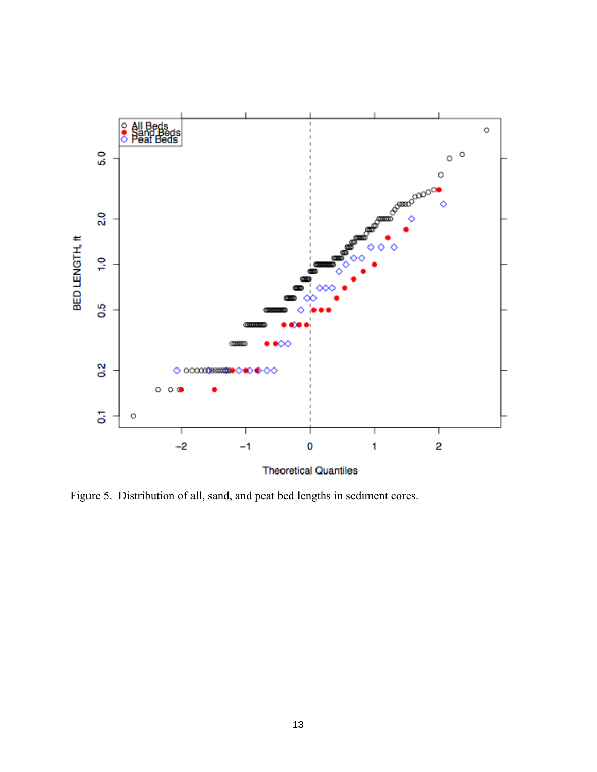

**Theoretical Quantiles** 

Figure 5. Distribution of all, sand, and peat bed lengths in sediment cores.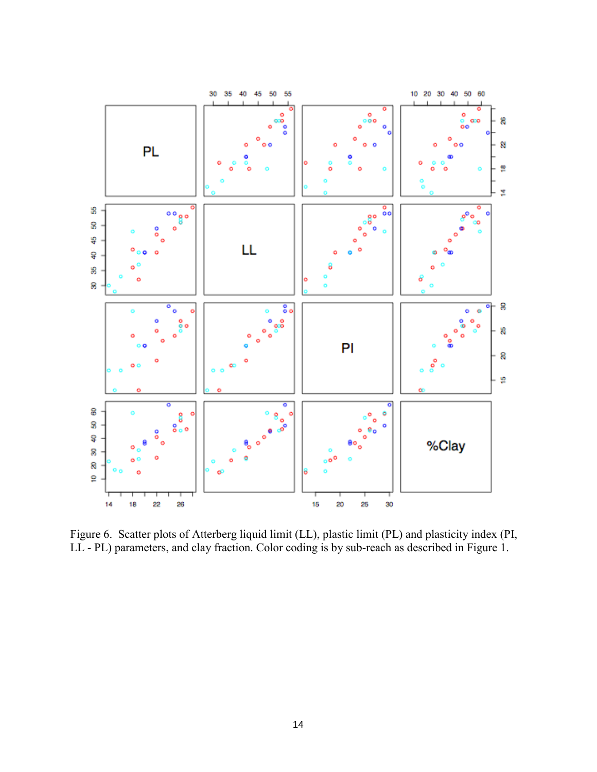

Figure 6. Scatter plots of Atterberg liquid limit (LL), plastic limit (PL) and plasticity index (PI, LL - PL) parameters, and clay fraction. Color coding is by sub-reach as described in Figure 1.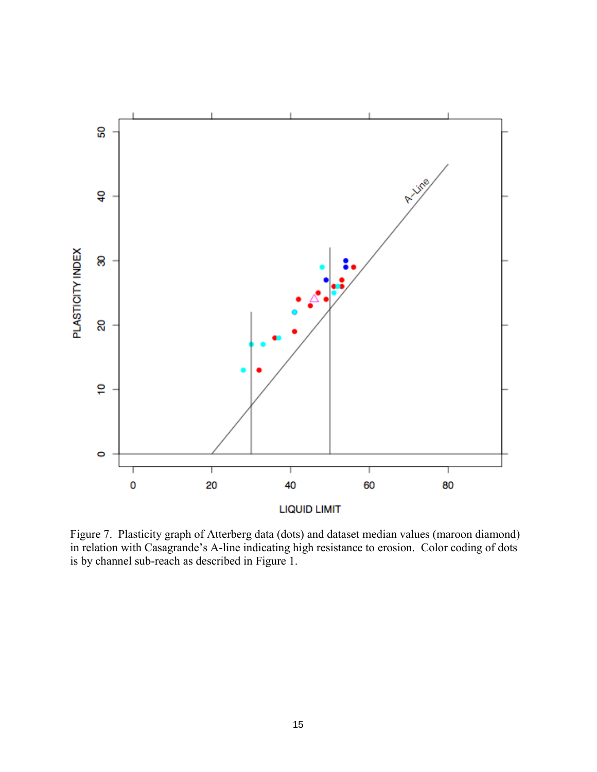

Figure 7. Plasticity graph of Atterberg data (dots) and dataset median values (maroon diamond) in relation with Casagrande's A-line indicating high resistance to erosion. Color coding of dots is by channel sub-reach as described in Figure 1.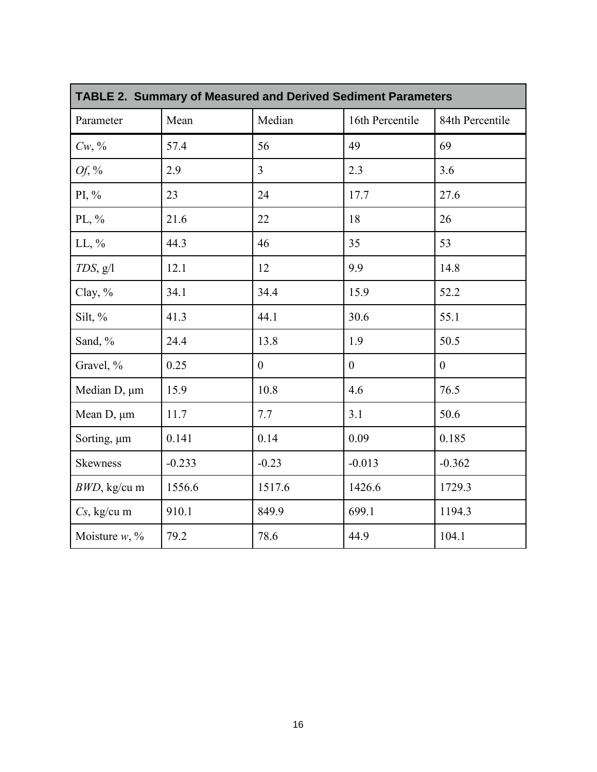| <b>TABLE 2. Summary of Measured and Derived Sediment Parameters</b> |          |                  |                  |                 |
|---------------------------------------------------------------------|----------|------------------|------------------|-----------------|
| Parameter                                                           | Mean     | Median           | 16th Percentile  | 84th Percentile |
| $Cw, \%$                                                            | 57.4     | 56               | 49               | 69              |
| Of, $\%$                                                            | 2.9      | $\overline{3}$   | 2.3              | 3.6             |
| PI, %                                                               | 23       | 24               | 17.7             | 27.6            |
| PL, $\%$                                                            | 21.6     | 22               | 18               | 26              |
| $LL, \%$                                                            | 44.3     | 46               | 35               | 53              |
| $TDS$ , $g/l$                                                       | 12.1     | 12               | 9.9              | 14.8            |
| Clay, %                                                             | 34.1     | 34.4             | 15.9             | 52.2            |
| Silt, %                                                             | 41.3     | 44.1             | 30.6             | 55.1            |
| Sand, %                                                             | 24.4     | 13.8             | 1.9              | 50.5            |
| Gravel, %                                                           | 0.25     | $\boldsymbol{0}$ | $\boldsymbol{0}$ | $\theta$        |
| Median D, µm                                                        | 15.9     | 10.8             | 4.6              | 76.5            |
| Mean $D$ , $\mu$ m                                                  | 11.7     | 7.7              | 3.1              | 50.6            |
| Sorting, µm                                                         | 0.141    | 0.14             | 0.09             | 0.185           |
| <b>Skewness</b>                                                     | $-0.233$ | $-0.23$          | $-0.013$         | $-0.362$        |
| $BWD$ , kg/cu m                                                     | 1556.6   | 1517.6           | 1426.6           | 1729.3          |
| Cs, kg/cu m                                                         | 910.1    | 849.9            | 699.1            | 1194.3          |
| Moisture $w, \%$                                                    | 79.2     | 78.6             | 44.9             | 104.1           |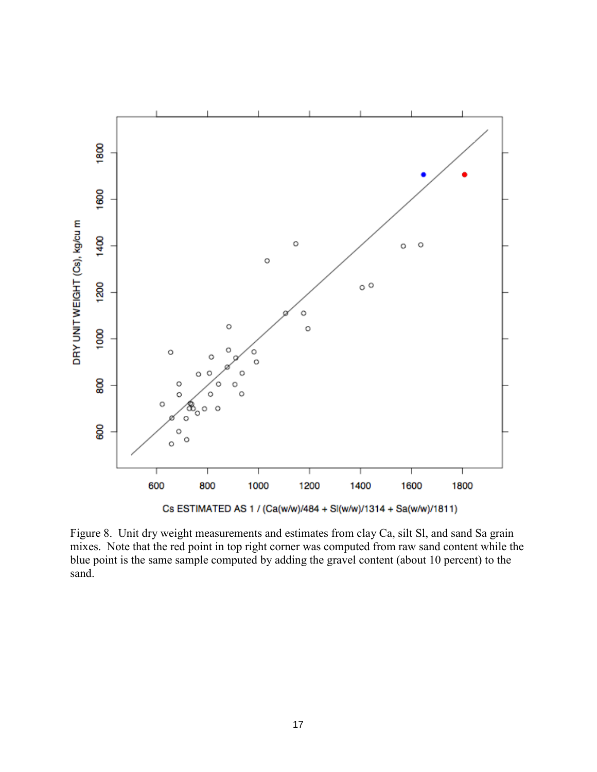

Figure 8. Unit dry weight measurements and estimates from clay Ca, silt Sl, and sand Sa grain mixes. Note that the red point in top right corner was computed from raw sand content while the blue point is the same sample computed by adding the gravel content (about 10 percent) to the sand.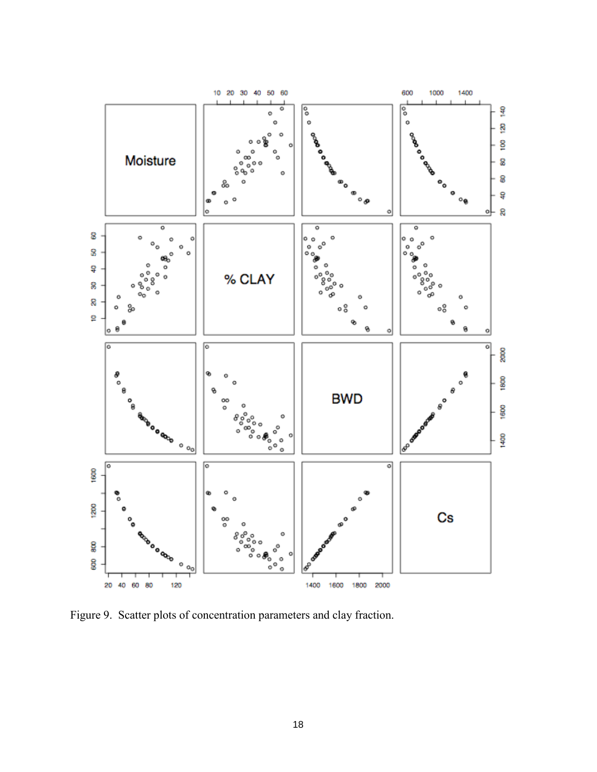

Figure 9. Scatter plots of concentration parameters and clay fraction.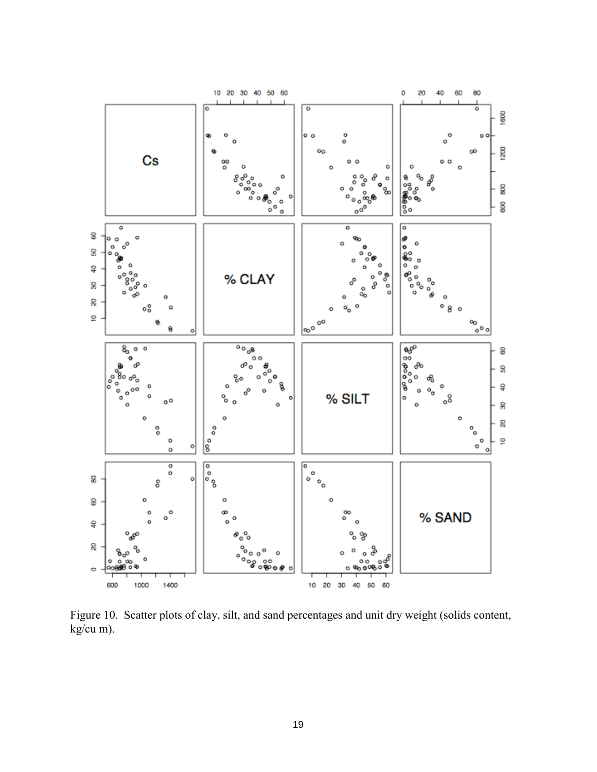

Figure 10. Scatter plots of clay, silt, and sand percentages and unit dry weight (solids content,  $kg/cu$  m).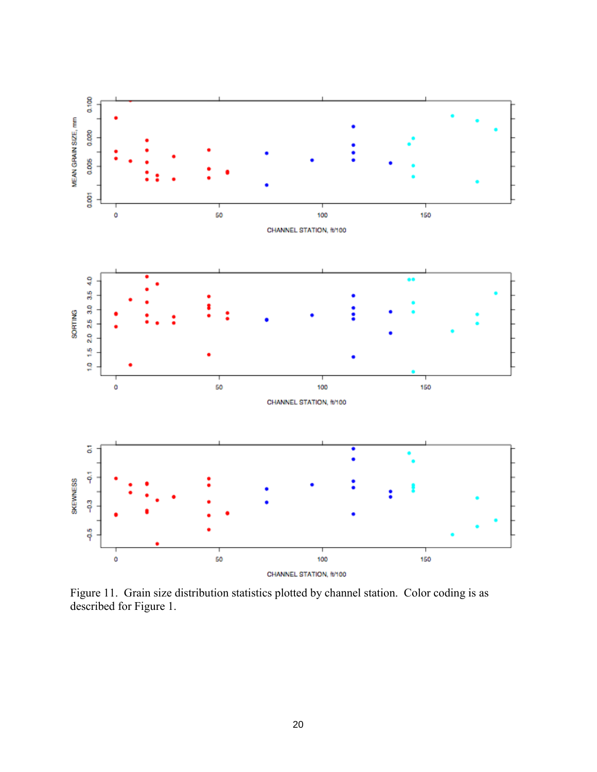

Figure 11. Grain size distribution statistics plotted by channel station. Color coding is as described for Figure 1.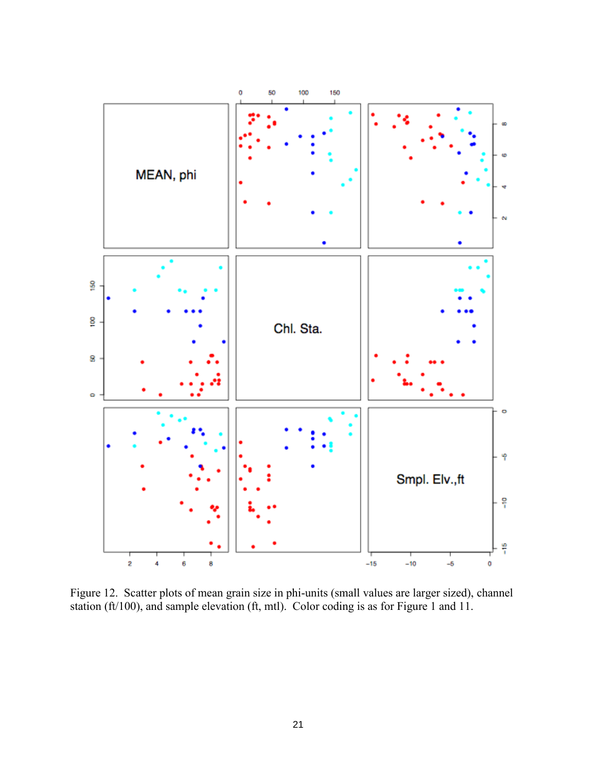

Figure 12. Scatter plots of mean grain size in phi-units (small values are larger sized), channel station (ft/100), and sample elevation (ft, mtl). Color coding is as for Figure 1 and 11.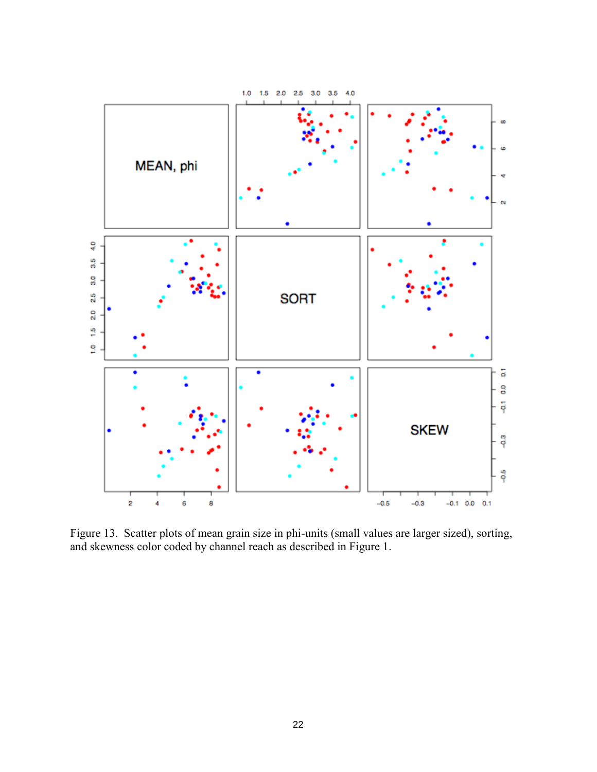

Figure 13. Scatter plots of mean grain size in phi-units (small values are larger sized), sorting, and skewness color coded by channel reach as described in Figure 1.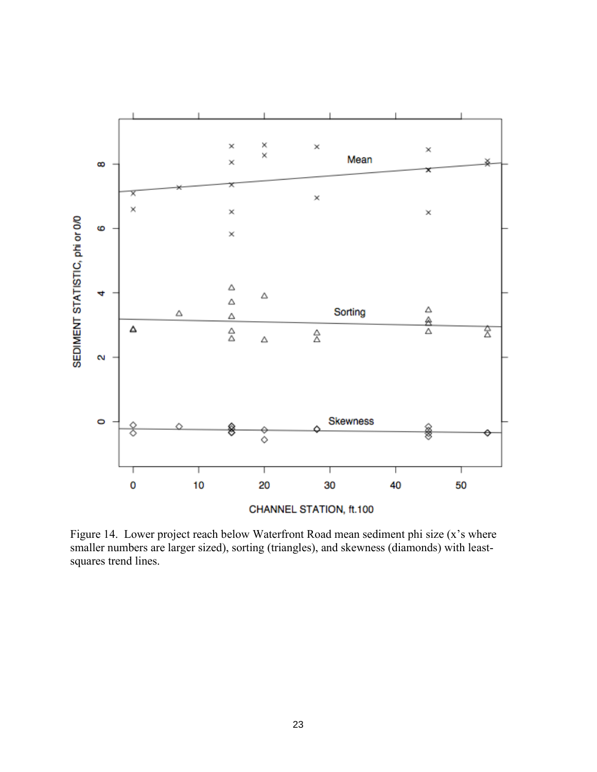

Figure 14. Lower project reach below Waterfront Road mean sediment phi size (x's where smaller numbers are larger sized), sorting (triangles), and skewness (diamonds) with leastsquares trend lines.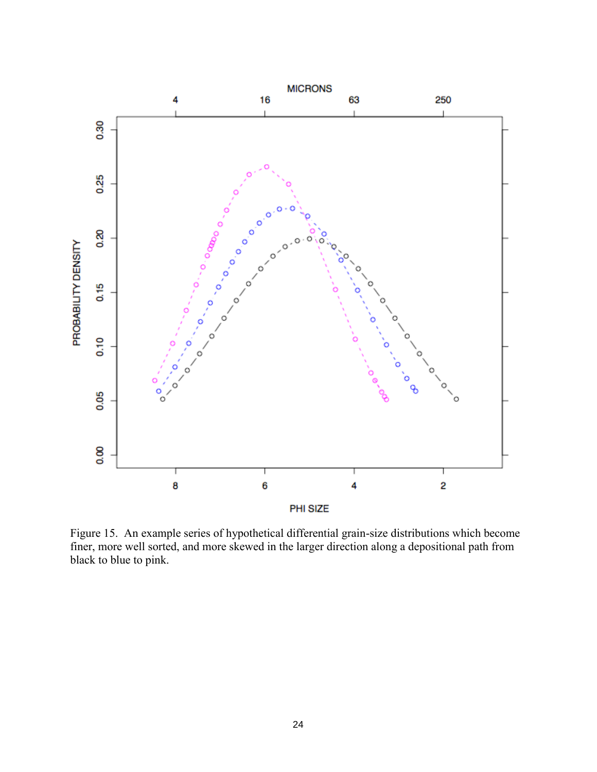

Figure 15. An example series of hypothetical differential grain-size distributions which become finer, more well sorted, and more skewed in the larger direction along a depositional path from black to blue to pink.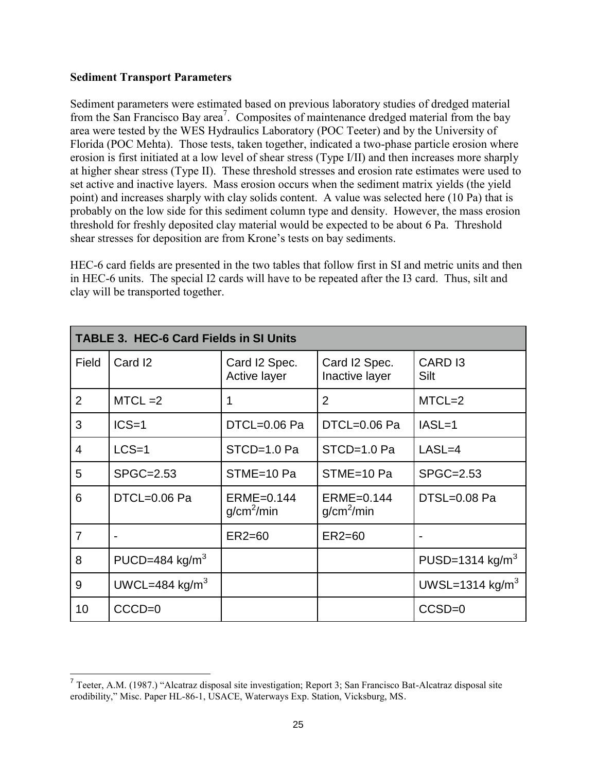#### **Sediment Transport Parameters**

Sediment parameters were estimated based on previous laboratory studies of dredged material from the San Francisco Bay area<sup>7</sup>. Composites of maintenance dredged material from the bay area were tested by the WES Hydraulics Laboratory (POC Teeter) and by the University of Florida (POC Mehta). Those tests, taken together, indicated a two-phase particle erosion where erosion is first initiated at a low level of shear stress (Type I/II) and then increases more sharply at higher shear stress (Type II). These threshold stresses and erosion rate estimates were used to set active and inactive layers. Mass erosion occurs when the sediment matrix yields (the yield point) and increases sharply with clay solids content. A value was selected here (10 Pa) that is probably on the low side for this sediment column type and density. However, the mass erosion threshold for freshly deposited clay material would be expected to be about 6 Pa. Threshold shear stresses for deposition are from Krone's tests on bay sediments.

HEC-6 card fields are presented in the two tables that follow first in SI and metric units and then in HEC-6 units. The special I2 cards will have to be repeated after the I3 card. Thus, silt and clay will be transported together.

| <b>TABLE 3. HEC-6 Card Fields in SI Units</b> |                          |                                        |                                      |                             |
|-----------------------------------------------|--------------------------|----------------------------------------|--------------------------------------|-----------------------------|
| Field                                         | Card <sub>12</sub>       | Card I2 Spec.<br>Active layer          | Card I2 Spec.<br>Inactive layer      | CARD <sub>13</sub><br>Silt  |
| $\overline{2}$                                | $MTCL = 2$               | 1                                      | $\overline{2}$                       | $MTCL=2$                    |
| 3                                             | $ICS=1$                  | DTCL=0.06 Pa                           | DTCL=0.06 Pa                         | $IASL=1$                    |
| $\overline{4}$                                | $LCS=1$                  | STCD=1.0 Pa                            | STCD=1.0 Pa                          | $LASL=4$                    |
| 5                                             | SPGC=2.53                | STME=10 Pa                             | STME=10 Pa                           | SPGC=2.53                   |
| 6                                             | DTCL=0.06 Pa             | $ERME=0.144$<br>g/cm <sup>2</sup> /min | ERME=0.144<br>g/cm <sup>2</sup> /min | DTSL=0.08 Pa                |
| $\overline{7}$                                | $\overline{\phantom{0}}$ | $ER2=60$                               | $ER2=60$                             | $\blacksquare$              |
| 8                                             | PUCD=484 kg/ $m3$        |                                        |                                      | PUSD=1314 $kg/m3$           |
| 9                                             | UWCL=484 kg/ $m3$        |                                        |                                      | UWSL=1314 kg/m <sup>3</sup> |
| 10                                            | $CCCD=0$                 |                                        |                                      | $CCSD=0$                    |

 7 Teeter, A.M. (1987.) "Alcatraz disposal site investigation; Report 3; San Francisco Bat-Alcatraz disposal site erodibility," Misc. Paper HL-86-1, USACE, Waterways Exp. Station, Vicksburg, MS.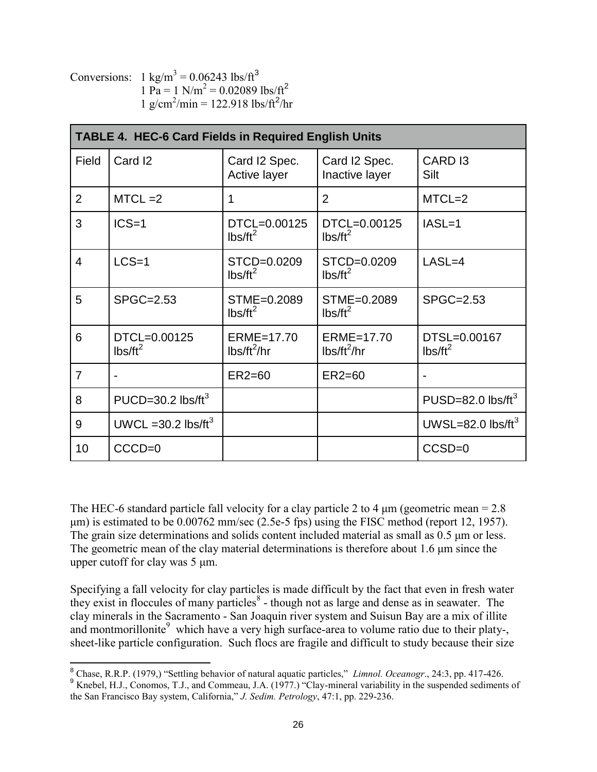Conversions:  $1 \text{ kg/m}^3 = 0.06243 \text{ lbs/ft}^3$  $1 \text{ Pa} = 1 \text{ N/m}^2 = 0.02089 \text{ lbs/ft}^2$  $1 \text{ g/cm}^2/\text{min} = 122.918 \text{ lbs/ft}^2/\text{hr}$ 

| <b>TABLE 4. HEC-6 Card Fields in Required English Units</b> |                                 |                                                     |                                                     |                                   |  |
|-------------------------------------------------------------|---------------------------------|-----------------------------------------------------|-----------------------------------------------------|-----------------------------------|--|
| Field                                                       | Card <sub>12</sub>              | Card I2 Spec.<br>Active layer                       | Card I2 Spec.<br>Inactive layer                     | CARD <sub>13</sub><br>Silt        |  |
| $\overline{2}$                                              | $MTCL = 2$                      | 1                                                   | $\overline{2}$                                      | $MTCL=2$                          |  |
| 3                                                           | $ICS=1$                         | DTCL=0.00125<br>$\text{lbs/ft}^2$                   | DTCL=0.00125<br>$lbs/ft^2$                          | $IASL=1$                          |  |
| $\overline{4}$                                              | $LCS=1$                         | STCD=0.0209<br>$\text{lbs/ft}^2$                    | STCD=0.0209<br>$lbs/ft^2$                           | $LASL=4$                          |  |
| 5                                                           | SPGC=2.53                       | STME=0.2089<br>$lbs/ft^2$                           | STME=0.2089<br>$lbs/ft^2$                           | SPGC=2.53                         |  |
| 6                                                           | DTCL=0.00125<br>$lbs/ft^2$      | ERME=17.70<br>$\frac{1}{5}$ lbs/ft <sup>2</sup> /hr | ERME=17.70<br>$\frac{1}{5}$ lbs/ft <sup>2</sup> /hr | DTSL=0.00167<br>$\text{lbs/ft}^2$ |  |
| $\overline{7}$                                              |                                 | $ER2=60$                                            | $ER2=60$                                            |                                   |  |
| 8                                                           | PUCD=30.2 lbs/ft <sup>3</sup>   |                                                     |                                                     | PUSD=82.0 $\text{lbs/ft}^3$       |  |
| 9                                                           | UWCL = 30.2 lbs/ft <sup>3</sup> |                                                     |                                                     | UWSL=82.0 $\text{lbs/ft}^3$       |  |
| 10                                                          | $CCCD=0$                        |                                                     |                                                     | CCSD=0                            |  |

The HEC-6 standard particle fall velocity for a clay particle 2 to 4  $\mu$ m (geometric mean = 2.8) μm) is estimated to be 0.00762 mm/sec (2.5e-5 fps) using the FISC method (report 12, 1957). The grain size determinations and solids content included material as small as 0.5 μm or less. The geometric mean of the clay material determinations is therefore about 1.6 μm since the upper cutoff for clay was 5 μm.

Specifying a fall velocity for clay particles is made difficult by the fact that even in fresh water they exist in floccules of many particles $\delta$  - though not as large and dense as in seawater. The clay minerals in the Sacramento - San Joaquin river system and Suisun Bay are a mix of illite and montmorillonite<sup>9</sup> which have a very high surface-area to volume ratio due to their platy-, sheet-like particle configuration. Such flocs are fragile and difficult to study because their size

 8 Chase, R.R.P. (1979,) "Settling behavior of natural aquatic particles," *Limnol. Oceanogr*., 24:3, pp. 417-426.

<sup>&</sup>lt;sup>9</sup> Knebel, H.J., Conomos, T.J., and Commeau, J.A. (1977.) "Clay-mineral variability in the suspended sediments of the San Francisco Bay system, California," *J. Sedim. Petrology*, 47:1, pp. 229-236.